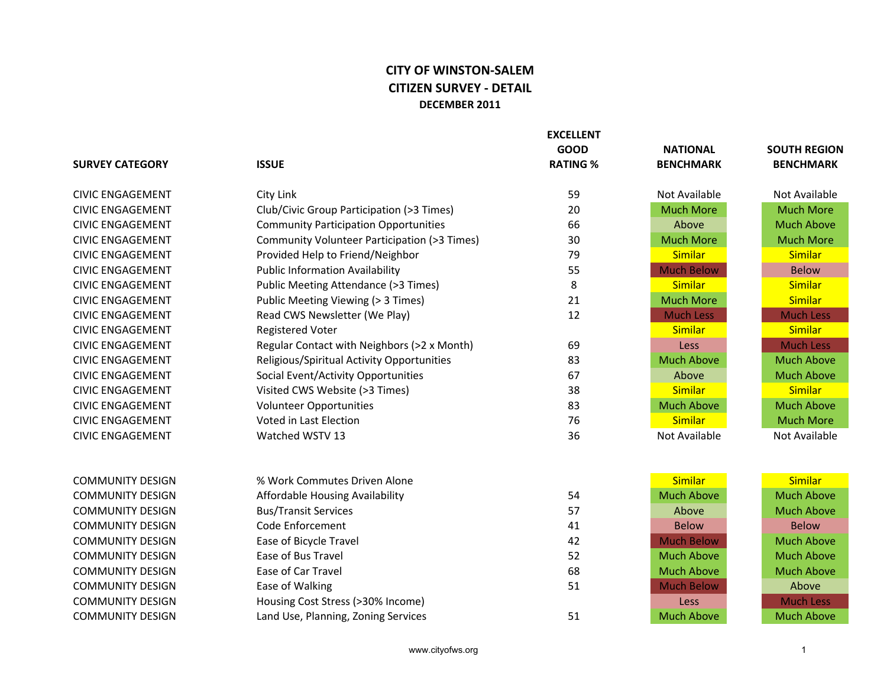## **CITY OF WINSTON-SALEM CITIZEN SURVEY - DETAIL DECEMBER 2011**

|                         |                                              | <b>EXCELLENT</b><br><b>GOOD</b> | <b>NATIONAL</b>   | <b>SOUTH REGION</b> |
|-------------------------|----------------------------------------------|---------------------------------|-------------------|---------------------|
| <b>SURVEY CATEGORY</b>  | <b>ISSUE</b>                                 | <b>RATING %</b>                 | <b>BENCHMARK</b>  | <b>BENCHMARK</b>    |
| <b>CIVIC ENGAGEMENT</b> | City Link                                    | 59                              | Not Available     | Not Available       |
| <b>CIVIC ENGAGEMENT</b> | Club/Civic Group Participation (>3 Times)    | 20                              | <b>Much More</b>  | <b>Much More</b>    |
| <b>CIVIC ENGAGEMENT</b> | <b>Community Participation Opportunities</b> | 66                              | Above             | <b>Much Above</b>   |
| <b>CIVIC ENGAGEMENT</b> | Community Volunteer Participation (>3 Times) | 30                              | <b>Much More</b>  | <b>Much More</b>    |
| <b>CIVIC ENGAGEMENT</b> | Provided Help to Friend/Neighbor             | 79                              | <b>Similar</b>    | <b>Similar</b>      |
| <b>CIVIC ENGAGEMENT</b> | <b>Public Information Availability</b>       | 55                              | <b>Much Below</b> | <b>Below</b>        |
| <b>CIVIC ENGAGEMENT</b> | Public Meeting Attendance (>3 Times)         | 8                               | Similar           | <b>Similar</b>      |
| <b>CIVIC ENGAGEMENT</b> | Public Meeting Viewing (> 3 Times)           | 21                              | <b>Much More</b>  | <b>Similar</b>      |
| <b>CIVIC ENGAGEMENT</b> | Read CWS Newsletter (We Play)                | 12                              | <b>Much Less</b>  | <b>Much Less</b>    |
| <b>CIVIC ENGAGEMENT</b> | <b>Registered Voter</b>                      |                                 | <b>Similar</b>    | <b>Similar</b>      |
| <b>CIVIC ENGAGEMENT</b> | Regular Contact with Neighbors (>2 x Month)  | 69                              | Less              | <b>Much Less</b>    |
| <b>CIVIC ENGAGEMENT</b> | Religious/Spiritual Activity Opportunities   | 83                              | <b>Much Above</b> | <b>Much Above</b>   |
| <b>CIVIC ENGAGEMENT</b> | Social Event/Activity Opportunities          | 67                              | Above             | <b>Much Above</b>   |
| <b>CIVIC ENGAGEMENT</b> | Visited CWS Website (>3 Times)               | 38                              | <b>Similar</b>    | <b>Similar</b>      |
| <b>CIVIC ENGAGEMENT</b> | Volunteer Opportunities                      | 83                              | <b>Much Above</b> | <b>Much Above</b>   |
| <b>CIVIC ENGAGEMENT</b> | <b>Voted in Last Election</b>                | 76                              | <b>Similar</b>    | <b>Much More</b>    |
| <b>CIVIC ENGAGEMENT</b> | Watched WSTV 13                              | 36                              | Not Available     | Not Available       |
| <b>COMMUNITY DESIGN</b> | % Work Commutes Driven Alone                 |                                 | <b>Similar</b>    | <b>Similar</b>      |
| <b>COMMUNITY DESIGN</b> | Affordable Housing Availability              | 54                              | <b>Much Above</b> | <b>Much Above</b>   |
| <b>COMMUNITY DESIGN</b> | <b>Bus/Transit Services</b>                  | 57                              | Above             | <b>Much Above</b>   |
| <b>COMMUNITY DESIGN</b> | Code Enforcement                             | 41                              | <b>Below</b>      | <b>Below</b>        |
| <b>COMMUNITY DESIGN</b> | Ease of Bicycle Travel                       | 42                              | <b>Much Below</b> | <b>Much Above</b>   |
| <b>COMMUNITY DESIGN</b> | Ease of Bus Travel                           | 52                              | <b>Much Above</b> | <b>Much Above</b>   |
| <b>COMMUNITY DESIGN</b> | Ease of Car Travel                           | 68                              | <b>Much Above</b> | <b>Much Above</b>   |
| <b>COMMUNITY DESIGN</b> | Ease of Walking                              | 51                              | <b>Much Below</b> | Above               |
| <b>COMMUNITY DESIGN</b> | Housing Cost Stress (>30% Income)            |                                 | Less              | <b>Much Less</b>    |
| <b>COMMUNITY DESIGN</b> | Land Use, Planning, Zoning Services          | 51                              | <b>Much Above</b> | <b>Much Above</b>   |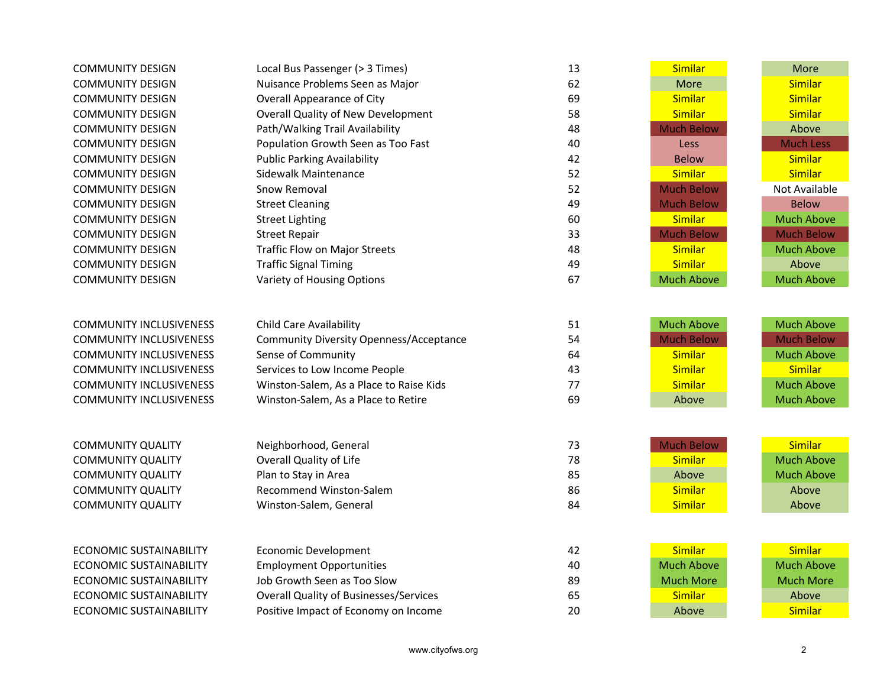| <b>COMMUNITY DESIGN</b>        | Local Bus Passenger (> 3 Times)                | 13 | Similar           | More              |
|--------------------------------|------------------------------------------------|----|-------------------|-------------------|
| <b>COMMUNITY DESIGN</b>        | Nuisance Problems Seen as Major                | 62 | More              | <b>Similar</b>    |
| <b>COMMUNITY DESIGN</b>        | <b>Overall Appearance of City</b>              | 69 | Similar           | <b>Similar</b>    |
| <b>COMMUNITY DESIGN</b>        | <b>Overall Quality of New Development</b>      | 58 | Similar           | <b>Similar</b>    |
| <b>COMMUNITY DESIGN</b>        | Path/Walking Trail Availability                | 48 | <b>Much Below</b> | Above             |
| <b>COMMUNITY DESIGN</b>        | Population Growth Seen as Too Fast             | 40 | Less              | <b>Much Less</b>  |
| <b>COMMUNITY DESIGN</b>        | <b>Public Parking Availability</b>             | 42 | <b>Below</b>      | <b>Similar</b>    |
| <b>COMMUNITY DESIGN</b>        | Sidewalk Maintenance                           | 52 | <b>Similar</b>    | <b>Similar</b>    |
| <b>COMMUNITY DESIGN</b>        | Snow Removal                                   | 52 | <b>Much Below</b> | Not Available     |
| <b>COMMUNITY DESIGN</b>        | <b>Street Cleaning</b>                         | 49 | <b>Much Below</b> | <b>Below</b>      |
| <b>COMMUNITY DESIGN</b>        | <b>Street Lighting</b>                         | 60 | <b>Similar</b>    | <b>Much Above</b> |
| <b>COMMUNITY DESIGN</b>        | <b>Street Repair</b>                           | 33 | <b>Much Below</b> | <b>Much Below</b> |
| <b>COMMUNITY DESIGN</b>        | <b>Traffic Flow on Major Streets</b>           | 48 | Similar           | <b>Much Above</b> |
| <b>COMMUNITY DESIGN</b>        | <b>Traffic Signal Timing</b>                   | 49 | Similar           | Above             |
| <b>COMMUNITY DESIGN</b>        | Variety of Housing Options                     | 67 | <b>Much Above</b> | <b>Much Above</b> |
|                                |                                                |    |                   |                   |
|                                |                                                |    |                   |                   |
| <b>COMMUNITY INCLUSIVENESS</b> | <b>Child Care Availability</b>                 | 51 | <b>Much Above</b> | <b>Much Above</b> |
| <b>COMMUNITY INCLUSIVENESS</b> | <b>Community Diversity Openness/Acceptance</b> | 54 | <b>Much Below</b> | <b>Much Below</b> |
| <b>COMMUNITY INCLUSIVENESS</b> | Sense of Community                             | 64 | Similar           | <b>Much Above</b> |
| <b>COMMUNITY INCLUSIVENESS</b> | Services to Low Income People                  | 43 | <b>Similar</b>    | <b>Similar</b>    |
| <b>COMMUNITY INCLUSIVENESS</b> | Winston-Salem, As a Place to Raise Kids        | 77 | <b>Similar</b>    | <b>Much Above</b> |
| <b>COMMUNITY INCLUSIVENESS</b> | Winston-Salem, As a Place to Retire            | 69 | Above             | <b>Much Above</b> |
|                                |                                                |    |                   |                   |
|                                |                                                |    |                   |                   |
| <b>COMMUNITY QUALITY</b>       | Neighborhood, General                          | 73 | <b>Much Below</b> | <b>Similar</b>    |
| <b>COMMUNITY QUALITY</b>       | <b>Overall Quality of Life</b>                 | 78 | Similar           | <b>Much Above</b> |
| <b>COMMUNITY QUALITY</b>       | Plan to Stay in Area                           | 85 | Above             | <b>Much Above</b> |
| <b>COMMUNITY QUALITY</b>       | <b>Recommend Winston-Salem</b>                 | 86 | Similar           | Above             |
| <b>COMMUNITY QUALITY</b>       | Winston-Salem, General                         | 84 | Similar           | Above             |
|                                |                                                |    |                   |                   |
|                                |                                                |    |                   |                   |
| <b>ECONOMIC SUSTAINABILITY</b> | <b>Economic Development</b>                    | 42 | Similar           | <b>Similar</b>    |
| <b>ECONOMIC SUSTAINABILITY</b> | <b>Employment Opportunities</b>                | 40 | <b>Much Above</b> | <b>Much Above</b> |
| <b>ECONOMIC SUSTAINABILITY</b> | Job Growth Seen as Too Slow                    | 89 | <b>Much More</b>  | <b>Much More</b>  |
| <b>ECONOMIC SUSTAINABILITY</b> | <b>Overall Quality of Businesses/Services</b>  | 65 | Similar           | Above             |
| <b>ECONOMIC SUSTAINABILITY</b> | Positive Impact of Economy on Income           | 20 | Above             | <b>Similar</b>    |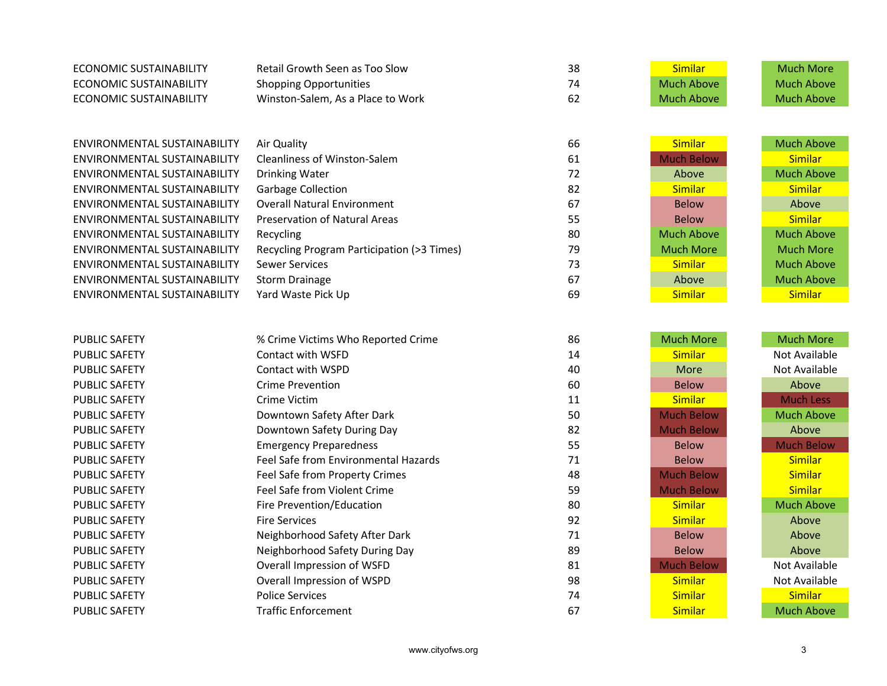| <b>ECONOMIC SUSTAINABILITY</b>      | Retail Growth Seen as Too Slow             | 38 | Similar           | <b>Much More</b>  |
|-------------------------------------|--------------------------------------------|----|-------------------|-------------------|
| <b>ECONOMIC SUSTAINABILITY</b>      | <b>Shopping Opportunities</b>              | 74 | <b>Much Above</b> | <b>Much Above</b> |
| <b>ECONOMIC SUSTAINABILITY</b>      | Winston-Salem, As a Place to Work          | 62 | <b>Much Above</b> | <b>Much Above</b> |
|                                     |                                            |    |                   |                   |
|                                     |                                            |    |                   |                   |
| ENVIRONMENTAL SUSTAINABILITY        | Air Quality                                | 66 | Similar           | <b>Much Above</b> |
| ENVIRONMENTAL SUSTAINABILITY        | Cleanliness of Winston-Salem               | 61 | <b>Much Below</b> | <b>Similar</b>    |
| ENVIRONMENTAL SUSTAINABILITY        | <b>Drinking Water</b>                      | 72 | Above             | <b>Much Above</b> |
| ENVIRONMENTAL SUSTAINABILITY        | Garbage Collection                         | 82 | Similar           | <b>Similar</b>    |
| ENVIRONMENTAL SUSTAINABILITY        | <b>Overall Natural Environment</b>         | 67 | <b>Below</b>      | Above             |
| ENVIRONMENTAL SUSTAINABILITY        | Preservation of Natural Areas              | 55 | <b>Below</b>      | <b>Similar</b>    |
| ENVIRONMENTAL SUSTAINABILITY        | Recycling                                  | 80 | <b>Much Above</b> | <b>Much Above</b> |
| ENVIRONMENTAL SUSTAINABILITY        | Recycling Program Participation (>3 Times) | 79 | <b>Much More</b>  | <b>Much More</b>  |
| <b>ENVIRONMENTAL SUSTAINABILITY</b> | <b>Sewer Services</b>                      | 73 | Similar           | <b>Much Above</b> |
| ENVIRONMENTAL SUSTAINABILITY        | <b>Storm Drainage</b>                      | 67 | Above             | <b>Much Above</b> |
| ENVIRONMENTAL SUSTAINABILITY        | Yard Waste Pick Up                         | 69 | <b>Similar</b>    | <b>Similar</b>    |
|                                     |                                            |    |                   |                   |
|                                     |                                            |    |                   |                   |
| <b>PUBLIC SAFETY</b>                | % Crime Victims Who Reported Crime         | 86 | <b>Much More</b>  | <b>Much More</b>  |
| <b>PUBLIC SAFETY</b>                | Contact with WSFD                          | 14 | Similar           | Not Available     |
| <b>PUBLIC SAFETY</b>                | Contact with WSPD                          | 40 | More              | Not Available     |
| <b>PUBLIC SAFETY</b>                | <b>Crime Prevention</b>                    | 60 | <b>Below</b>      | Above             |
| <b>PUBLIC SAFETY</b>                | Crime Victim                               | 11 | Similar           | <b>Much Less</b>  |
| <b>PUBLIC SAFETY</b>                | Downtown Safety After Dark                 | 50 | <b>Much Below</b> | <b>Much Above</b> |
| <b>PUBLIC SAFETY</b>                | Downtown Safety During Day                 | 82 | <b>Much Below</b> | Above             |
| <b>PUBLIC SAFETY</b>                | <b>Emergency Preparedness</b>              | 55 | <b>Below</b>      | <b>Much Below</b> |
| <b>PUBLIC SAFETY</b>                | Feel Safe from Environmental Hazards       | 71 | <b>Below</b>      | <b>Similar</b>    |
| <b>PUBLIC SAFETY</b>                | Feel Safe from Property Crimes             | 48 | <b>Much Below</b> | <b>Similar</b>    |
| <b>PUBLIC SAFETY</b>                | Feel Safe from Violent Crime               | 59 | <b>Much Below</b> | <b>Similar</b>    |
| <b>PUBLIC SAFETY</b>                | Fire Prevention/Education                  | 80 | Similar           | <b>Much Above</b> |
| <b>PUBLIC SAFETY</b>                | <b>Fire Services</b>                       | 92 | Similar           | Above             |
| <b>PUBLIC SAFETY</b>                | Neighborhood Safety After Dark             | 71 | <b>Below</b>      | Above             |
| <b>PUBLIC SAFETY</b>                | Neighborhood Safety During Day             | 89 | <b>Below</b>      | Above             |
| <b>PUBLIC SAFETY</b>                | Overall Impression of WSFD                 | 81 | <b>Much Below</b> | Not Available     |
| <b>PUBLIC SAFETY</b>                | Overall Impression of WSPD                 | 98 | Similar           | Not Available     |
| <b>PUBLIC SAFETY</b>                | <b>Police Services</b>                     | 74 | Similar           | <b>Similar</b>    |
| <b>PUBLIC SAFETY</b>                | <b>Traffic Enforcement</b>                 | 67 | <b>Similar</b>    | <b>Much Above</b> |
|                                     |                                            |    |                   |                   |